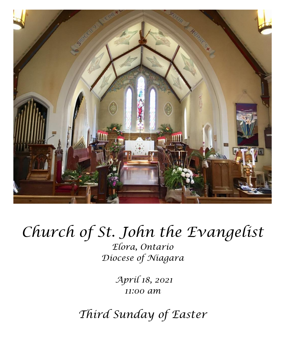

# *Church of St. John the Evangelist*

*Elora, Ontario Diocese of Niagara*

> *April 18, 2021 11:00 am*

*Third Sunday of Easter*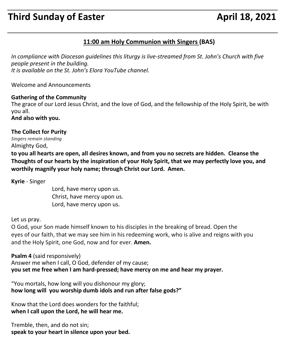# **Third Sunday of Easter April 18, 2021**

# **11:00 am Holy Communion with Singers (BAS)**

*In compliance with Diocesan guidelines this liturgy is live-streamed from St. John's Church with five people present in the building. It is available on the St. John's Elora YouTube channel.*

Welcome and Announcements

#### **Gathering of the Community**

The grace of our Lord Jesus Christ, and the love of God, and the fellowship of the Holy Spirit, be with you all.

**And also with you.**

#### **The Collect for Purity**

*Singers remain standing* Almighty God,

**to you all hearts are open, all desires known, and from you no secrets are hidden. Cleanse the Thoughts of our hearts by the inspiration of your Holy Spirit, that we may perfectly love you, and worthily magnify your holy name; through Christ our Lord. Amen.**

**Kyrie** - Singer

Lord, have mercy upon us. Christ, have mercy upon us. Lord, have mercy upon us.

Let us pray.

O God, your Son made himself known to his disciples in the breaking of bread. Open the eyes of our faith, that we may see him in his redeeming work, who is alive and reigns with you and the Holy Spirit, one God, now and for ever. **Amen.**

**Psalm 4** (said responsively)

Answer me when I call, O God, defender of my cause; **you set me free when I am hard-pressed; have mercy on me and hear my prayer.**

"You mortals, how long will you dishonour my glory; **how long will you worship dumb idols and run after false gods?"**

Know that the Lord does wonders for the faithful; **when I call upon the Lord, he will hear me.**

Tremble, then, and do not sin; **speak to your heart in silence upon your bed.**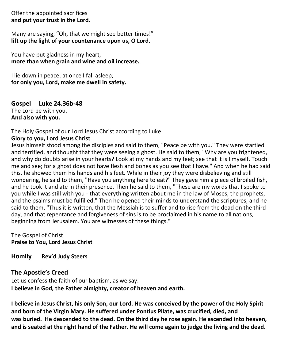Offer the appointed sacrifices **and put your trust in the Lord.**

Many are saying, "Oh, that we might see better times!" **lift up the light of your countenance upon us, O Lord.**

You have put gladness in my heart, **more than when grain and wine and oil increase.**

I lie down in peace; at once I fall asleep; **for only you, Lord, make me dwell in safety.**

**Gospel Luke 24.36b-48** The Lord be with you. **And also with you.**

# The Holy Gospel of our Lord Jesus Christ according to Luke

# **Glory to you, Lord Jesus Christ**

Jesus himself stood among the disciples and said to them, "Peace be with you." They were startled and terrified, and thought that they were seeing a ghost. He said to them, "Why are you frightened, and why do doubts arise in your hearts? Look at my hands and my feet; see that it is I myself. Touch me and see; for a ghost does not have flesh and bones as you see that I have." And when he had said this, he showed them his hands and his feet. While in their joy they were disbelieving and still wondering, he said to them, "Have you anything here to eat?" They gave him a piece of broiled fish, and he took it and ate in their presence. Then he said to them, "These are my words that I spoke to you while I was still with you - that everything written about me in the law of Moses, the prophets, and the psalms must be fulfilled." Then he opened their minds to understand the scriptures, and he said to them, "Thus it is written, that the Messiah is to suffer and to rise from the dead on the third day, and that repentance and forgiveness of sins is to be proclaimed in his name to all nations, beginning from Jerusalem. You are witnesses of these things."

The Gospel of Christ **Praise to You, Lord Jesus Christ**

**Homily Rev'd Judy Steers**

#### **The Apostle's Creed**

Let us confess the faith of our baptism, as we say: **I believe in God, the Father almighty, creator of heaven and earth.** 

**I believe in Jesus Christ, his only Son, our Lord. He was conceived by the power of the Holy Spirit and born of the Virgin Mary. He suffered under Pontius Pilate, was crucified, died, and was buried. He descended to the dead. On the third day he rose again. He ascended into heaven, and is seated at the right hand of the Father. He will come again to judge the living and the dead.**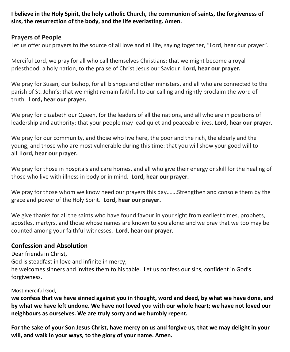**I believe in the Holy Spirit, the holy catholic Church, the communion of saints, the forgiveness of sins, the resurrection of the body, and the life everlasting. Amen.**

# **Prayers of People**

Let us offer our prayers to the source of all love and all life, saying together, "Lord, hear our prayer".

Merciful Lord, we pray for all who call themselves Christians: that we might become a royal priesthood, a holy nation, to the praise of Christ Jesus our Saviour. **Lord, hear our prayer.**

We pray for Susan, our bishop, for all bishops and other ministers, and all who are connected to the parish of St. John's: that we might remain faithful to our calling and rightly proclaim the word of truth. **Lord, hear our prayer.**

We pray for Elizabeth our Queen, for the leaders of all the nations, and all who are in positions of leadership and authority: that your people may lead quiet and peaceable lives. **Lord, hear our prayer.**

We pray for our community, and those who live here, the poor and the rich, the elderly and the young, and those who are most vulnerable during this time: that you will show your good will to all. **Lord, hear our prayer.**

We pray for those in hospitals and care homes, and all who give their energy or skill for the healing of those who live with illness in body or in mind. **Lord, hear our prayer.**

We pray for those whom we know need our prayers this day.......Strengthen and console them by the grace and power of the Holy Spirit. **Lord, hear our prayer.**

We give thanks for all the saints who have found favour in your sight from earliest times, prophets, apostles, martyrs, and those whose names are known to you alone: and we pray that we too may be counted among your faithful witnesses. **Lord, hear our prayer.**

# **Confession and Absolution**

Dear friends in Christ, God is steadfast in love and infinite in mercy; he welcomes sinners and invites them to his table. Let us confess our sins, confident in God's forgiveness.

Most merciful God,

**we confess that we have sinned against you in thought, word and deed, by what we have done, and by what we have left undone. We have not loved you with our whole heart; we have not loved our neighbours as ourselves. We are truly sorry and we humbly repent.**

**For the sake of your Son Jesus Christ, have mercy on us and forgive us, that we may delight in your will, and walk in your ways, to the glory of your name. Amen.**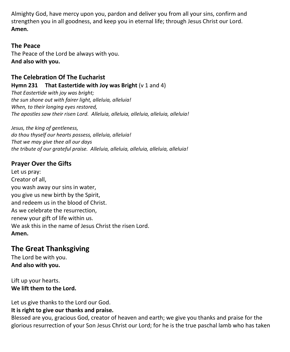Almighty God, have mercy upon you, pardon and deliver you from all your sins, confirm and strengthen you in all goodness, and keep you in eternal life; through Jesus Christ our Lord. **Amen.**

# **The Peace**

The Peace of the Lord be always with you. **And also with you.**

# **The Celebration Of The Eucharist**

#### **Hymn 231 That Eastertide with Joy was Bright** (v 1 and 4)

*That Eastertide with joy was bright; the sun shone out with fairer light, alleluia, alleluia! When, to their longing eyes restored, The apostles saw their risen Lord. Alleluia, alleluia, alleluia, alleluia, alleluia!*

*Jesus, the king of gentleness, do thou thyself our hearts possess, alleluia, alleluia! That we may give thee all our days the tribute of our grateful praise. Alleluia, alleluia, alleluia, alleluia, alleluia!*

# **Prayer Over the Gifts**

Let us pray: Creator of all, you wash away our sins in water, you give us new birth by the Spirit, and redeem us in the blood of Christ. As we celebrate the resurrection, renew your gift of life within us. We ask this in the name of Jesus Christ the risen Lord. **Amen.**

# **The Great Thanksgiving**

The Lord be with you. **And also with you.**

Lift up your hearts. **We lift them to the Lord.**

Let us give thanks to the Lord our God.

# **It is right to give our thanks and praise.**

Blessed are you, gracious God, creator of heaven and earth; we give you thanks and praise for the glorious resurrection of your Son Jesus Christ our Lord; for he is the true paschal lamb who has taken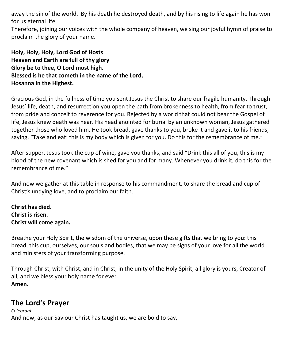away the sin of the world. By his death he destroyed death, and by his rising to life again he has won for us eternal life.

Therefore, joining our voices with the whole company of heaven, we sing our joyful hymn of praise to proclaim the glory of your name.

**Holy, Holy, Holy, Lord God of Hosts Heaven and Earth are full of thy glory Glory be to thee, O Lord most high. Blessed is he that cometh in the name of the Lord, Hosanna in the Highest.**

Gracious God, in the fullness of time you sent Jesus the Christ to share our fragile humanity. Through Jesus' life, death, and resurrection you open the path from brokenness to health, from fear to trust, from pride and conceit to reverence for you. Rejected by a world that could not bear the Gospel of life, Jesus knew death was near. His head anointed for burial by an unknown woman, Jesus gathered together those who loved him. He took bread, gave thanks to you, broke it and gave it to his friends, saying, "Take and eat: this is my body which is given for you. Do this for the remembrance of me."

After supper, Jesus took the cup of wine, gave you thanks, and said "Drink this all of you, this is my blood of the new covenant which is shed for you and for many. Whenever you drink it, do this for the remembrance of me."

And now we gather at this table in response to his commandment, to share the bread and cup of Christ's undying love, and to proclaim our faith.

**Christ has died. Christ is risen. Christ will come again.** 

Breathe your Holy Spirit, the wisdom of the universe, upon these gifts that we bring to you: this bread, this cup, ourselves, our souls and bodies, that we may be signs of your love for all the world and ministers of your transforming purpose.

Through Christ, with Christ, and in Christ, in the unity of the Holy Spirit, all glory is yours, Creator of all, and we bless your holy name for ever. **Amen.**

# **The Lord's Prayer**

*Celebrant* And now, as our Saviour Christ has taught us, we are bold to say,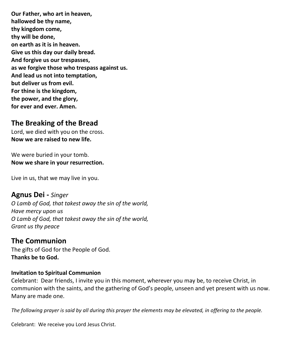**Our Father, who art in heaven, hallowed be thy name, thy kingdom come, thy will be done, on earth as it is in heaven. Give us this day our daily bread. And forgive us our trespasses, as we forgive those who trespass against us. And lead us not into temptation, but deliver us from evil. For thine is the kingdom, the power, and the glory, for ever and ever. Amen.**

# **The Breaking of the Bread**

Lord, we died with you on the cross. **Now we are raised to new life.**

We were buried in your tomb. **Now we share in your resurrection.**

Live in us, that we may live in you.

**Agnus Dei -** *Singer O Lamb of God, that takest away the sin of the world, Have mercy upon us O Lamb of God, that takest away the sin of the world, Grant us thy peace*

# **The Communion**

The gifts of God for the People of God. **Thanks be to God.**

#### **Invitation to Spiritual Communion**

Celebrant: Dear friends, I invite you in this moment, wherever you may be, to receive Christ, in communion with the saints, and the gathering of God's people, unseen and yet present with us now. Many are made one.

*The following prayer is said by all during this prayer the elements may be elevated, in offering to the people.*

Celebrant: We receive you Lord Jesus Christ.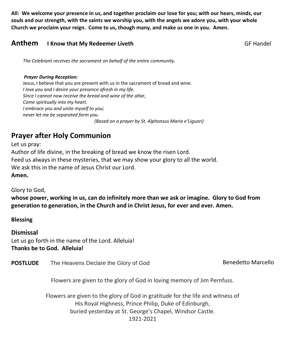**All: We welcome your presence in us, and together proclaim our love for you; with our hears, minds, our souls and our strength, with the saints we worship you, with the angels we adore you, with your whole Church we proclaim your reign. Come to us, though many, and make us one in you. Amen.**

# **Anthem** I Know that My Redeemer Liveth GF Handel

 *The Celebrant receives the sacrament on behalf of the entire community.* 

#### *Prayer During Reception:*

Jesus, I believe that you are present with us in the sacrament of bread and wine. *I love you and I desire your presence afresh in my life. Since I cannot now receive the bread and wine of the altar, Come spiritually into my heart. I embrace you and unite myself to you; never let me be separated form you. (Based on a prayer by St. Alphonsus Maria e'Liguori)*

# **Prayer after Holy Communion**

Let us pray: Author of life divine, in the breaking of bread we know the risen Lord. Feed us always in these mysteries, that we may show your glory to all the world. We ask this in the name of Jesus Christ our Lord.

**Amen.**

Glory to God,

**whose power, working in us, can do infinitely more than we ask or imagine. Glory to God from generation to generation, in the Church and in Christ Jesus, for ever and ever. Amen.**

**Blessing**

**Dismissal** Let us go forth in the name of the Lord. Alleluia! **Thanks be to God. Alleluia!**

**POSTLUDE** The Heavens Declare the Glory of God Benedetto Marcello

Flowers are given to the glory of God in loving memory of Jim Pernfuss.

Flowers are given to the glory of God in gratitude for the life and witness of His Royal Highness, Prince Philip, Duke of Edinburgh, buried yesterday at St. George's Chapel, Windsor Castle. 1921-2021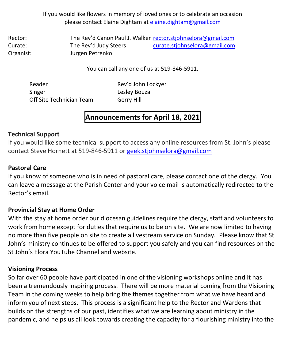If you would like flowers in memory of loved ones or to celebrate an occasion please contact Elaine Dightam at [elaine.dightam@gmail.com](mailto:elaine.dightam@gmail.com)

Rector: The Rev'd Canon Paul J. Walker [rector.stjohnselora@gmail.com](mailto:rector.stjohnselora@gmail.com) Curate: The Rev'd Judy Steers [curate.stjohnselora@gmail.com](mailto:curate.stjohnselora@gmail.com) Organist: Jurgen Petrenko

You can call any one of us at 519-846-5911.

Reader Rev'd John Lockyer Singer Lesley Bouza Off Site Technician Team Gerry Hill

# **Announcements for April 18, 2021**

# **Technical Support**

If you would like some technical support to access any online resources from St. John's please contact Steve Hornett at 519-846-5911 or [geek.stjohnselora@gmail.com](mailto:geek.stjohnselora@gmail.com)

# **Pastoral Care**

If you know of someone who is in need of pastoral care, please contact one of the clergy. You can leave a message at the Parish Center and your voice mail is automatically redirected to the Rector's email.

# **Provincial Stay at Home Order**

With the stay at home order our diocesan guidelines require the clergy, staff and volunteers to work from home except for duties that require us to be on site. We are now limited to having no more than five people on site to create a livestream service on Sunday. Please know that St John's ministry continues to be offered to support you safely and you can find resources on the St John's Elora YouTube Channel and website.

# **Visioning Process**

So far over 60 people have participated in one of the visioning workshops online and it has been a tremendously inspiring process. There will be more material coming from the Visioning Team in the coming weeks to help bring the themes together from what we have heard and inform you of next steps. This process is a significant help to the Rector and Wardens that builds on the strengths of our past, identifies what we are learning about ministry in the pandemic, and helps us all look towards creating the capacity for a flourishing ministry into the